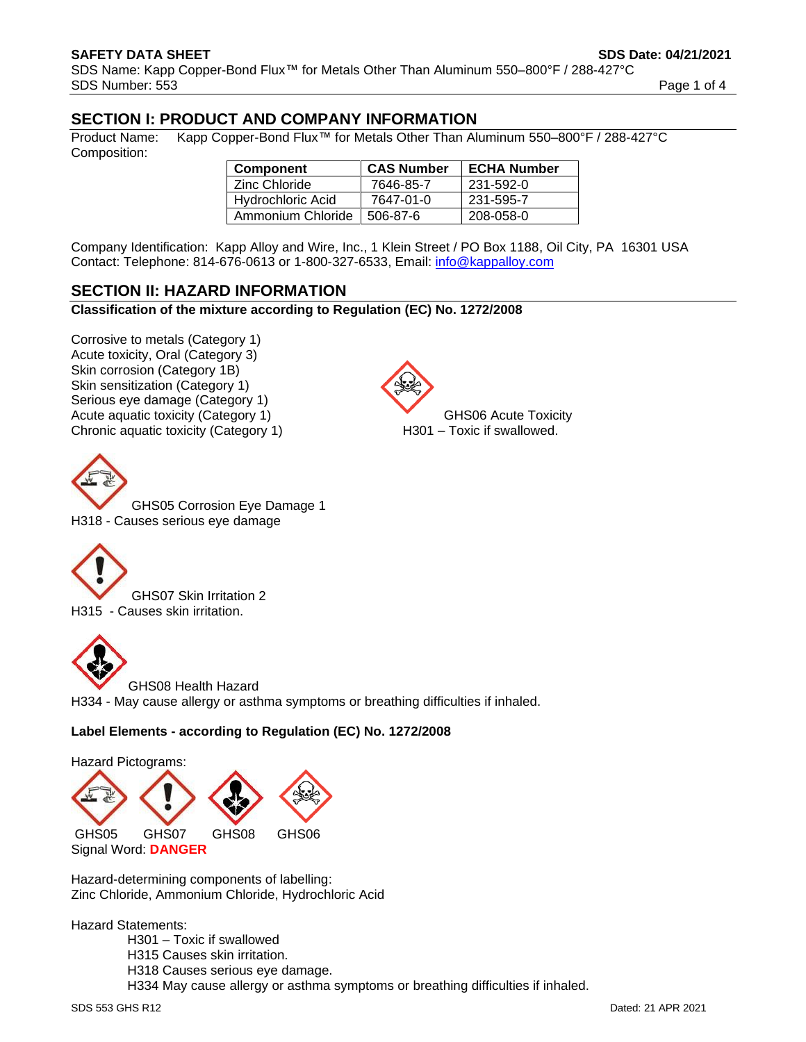# **SECTION I: PRODUCT AND COMPANY INFORMATION**

Product Name: Kapp Copper-Bond Flux™ for Metals Other Than Aluminum 550–800°F / 288-427°C Composition:

| Component         | <b>CAS Number</b> | <b>ECHA Number</b> |
|-------------------|-------------------|--------------------|
| Zinc Chloride     | 7646-85-7         | 231-592-0          |
| Hydrochloric Acid | 7647-01-0         | 231-595-7          |
| Ammonium Chloride | 506-87-6          | 208-058-0          |

Company Identification: Kapp Alloy and Wire, Inc., 1 Klein Street / PO Box 1188, Oil City, PA 16301 USA Contact: Telephone: 814-676-0613 or 1-800-327-6533, Email: [info@kappalloy.com](mailto:info@kappalloy.com)

# **SECTION II: HAZARD INFORMATION**

**Classification of the mixture according to Regulation (EC) No. 1272/2008**

Corrosive to metals (Category 1) Acute toxicity, Oral (Category 3) Skin corrosion (Category 1B) Skin sensitization (Category 1) Serious eye damage (Category 1) Acute aquatic toxicity (Category 1) GHS06 Acute Toxicity Chronic aquatic toxicity (Category 1) H301 – Toxic if swallowed.



GHS05 Corrosion Eye Damage 1 H318 - Causes serious eye damage



GHS07 Skin Irritation 2 H315 - Causes skin irritation.



GHS08 Health Hazard H334 - May cause allergy or asthma symptoms or breathing difficulties if inhaled.

## **Label Elements - according to Regulation (EC) No. 1272/2008**

Hazard Pictograms: GHS05 GHS07 GHS08 GHS06 Signal Word: **DANGER**

Hazard-determining components of labelling: Zinc Chloride, Ammonium Chloride, Hydrochloric Acid

Hazard Statements:

H301 – Toxic if swallowed H315 Causes skin irritation. H318 Causes serious eye damage. H334 May cause allergy or asthma symptoms or breathing difficulties if inhaled.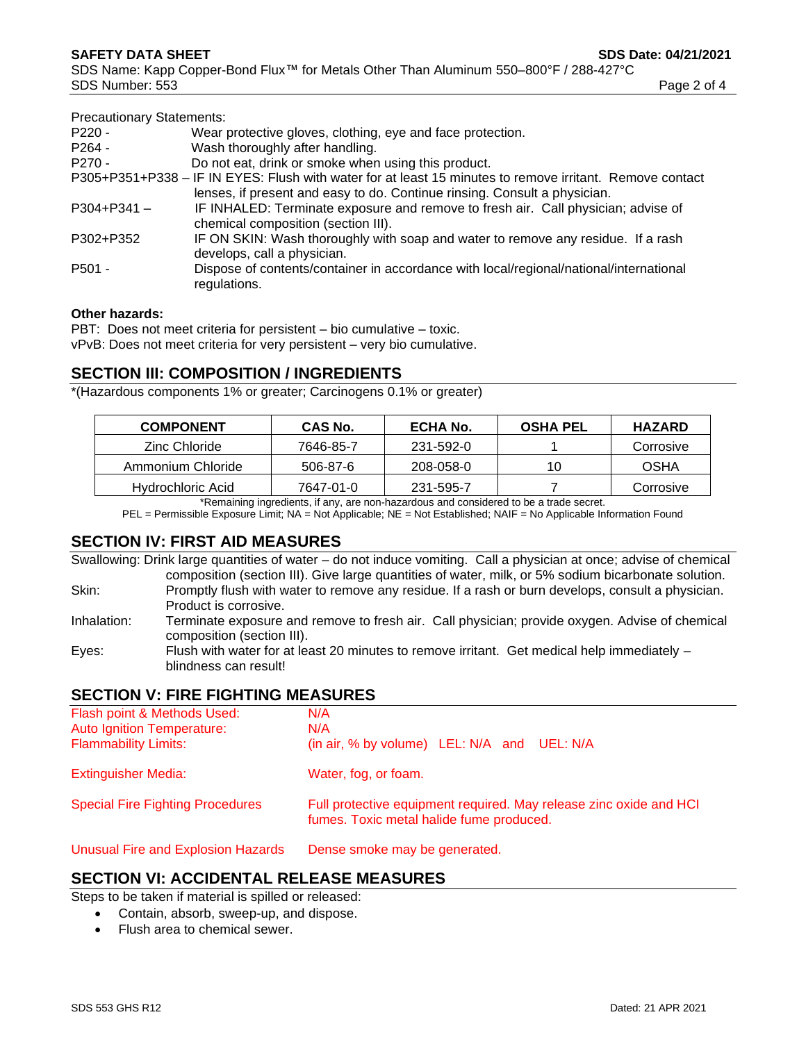| Page 2 of 4 |  |  |
|-------------|--|--|
|-------------|--|--|

| <b>Precautionary Statements:</b> |                                                                                                          |
|----------------------------------|----------------------------------------------------------------------------------------------------------|
| $P220 -$                         | Wear protective gloves, clothing, eye and face protection.                                               |
| $P264 -$                         | Wash thoroughly after handling.                                                                          |
| $P270 -$                         | Do not eat, drink or smoke when using this product.                                                      |
|                                  | P305+P351+P338 – IF IN EYES: Flush with water for at least 15 minutes to remove irritant. Remove contact |
|                                  | lenses, if present and easy to do. Continue rinsing. Consult a physician.                                |
| $P304 + P341 -$                  | IF INHALED: Terminate exposure and remove to fresh air. Call physician; advise of                        |
|                                  | chemical composition (section III).                                                                      |
| P302+P352                        | IF ON SKIN: Wash thoroughly with soap and water to remove any residue. If a rash                         |
|                                  | develops, call a physician.                                                                              |
| P501 -                           | Dispose of contents/container in accordance with local/regional/national/international                   |
|                                  | regulations.                                                                                             |
|                                  |                                                                                                          |

#### **Other hazards:**

PBT: Does not meet criteria for persistent – bio cumulative – toxic.

vPvB: Does not meet criteria for very persistent – very bio cumulative.

## **SECTION III: COMPOSITION / INGREDIENTS**

\*(Hazardous components 1% or greater; Carcinogens 0.1% or greater)

| <b>COMPONENT</b>  | <b>CAS No.</b> | ECHA No.  | <b>OSHA PEL</b> | <b>HAZARD</b> |
|-------------------|----------------|-----------|-----------------|---------------|
| Zinc Chloride     | 7646-85-7      | 231-592-0 |                 | Corrosive     |
| Ammonium Chloride | 506-87-6       | 208-058-0 | 10              | OSHA          |
| Hydrochloric Acid | 7647-01-0      | 231-595-7 |                 | Corrosive     |

\*Remaining ingredients, if any, are non-hazardous and considered to be a trade secret.

PEL = Permissible Exposure Limit; NA = Not Applicable; NE = Not Established; NAIF = No Applicable Information Found

## **SECTION IV: FIRST AID MEASURES**

Swallowing: Drink large quantities of water – do not induce vomiting. Call a physician at once; advise of chemical composition (section III). Give large quantities of water, milk, or 5% sodium bicarbonate solution. Skin: Promptly flush with water to remove any residue. If a rash or burn develops, consult a physician. Product is corrosive. Inhalation: Terminate exposure and remove to fresh air. Call physician; provide oxygen. Advise of chemical composition (section III). Eyes: Flush with water for at least 20 minutes to remove irritant. Get medical help immediately –

#### **SECTION V: FIRE FIGHTING MEASURES**

blindness can result!

| Flash point & Methods Used:               | N/A                                                                                                            |  |
|-------------------------------------------|----------------------------------------------------------------------------------------------------------------|--|
| <b>Auto Ignition Temperature:</b>         | N/A                                                                                                            |  |
| <b>Flammability Limits:</b>               | (in air, % by volume) LEL: N/A and UEL: N/A                                                                    |  |
| <b>Extinguisher Media:</b>                | Water, fog, or foam.                                                                                           |  |
| <b>Special Fire Fighting Procedures</b>   | Full protective equipment required. May release zinc oxide and HCI<br>fumes. Toxic metal halide fume produced. |  |
| <b>Unusual Fire and Explosion Hazards</b> | Dense smoke may be generated.                                                                                  |  |

#### **SECTION VI: ACCIDENTAL RELEASE MEASURES**

Steps to be taken if material is spilled or released:

- Contain, absorb, sweep-up, and dispose.
- Flush area to chemical sewer.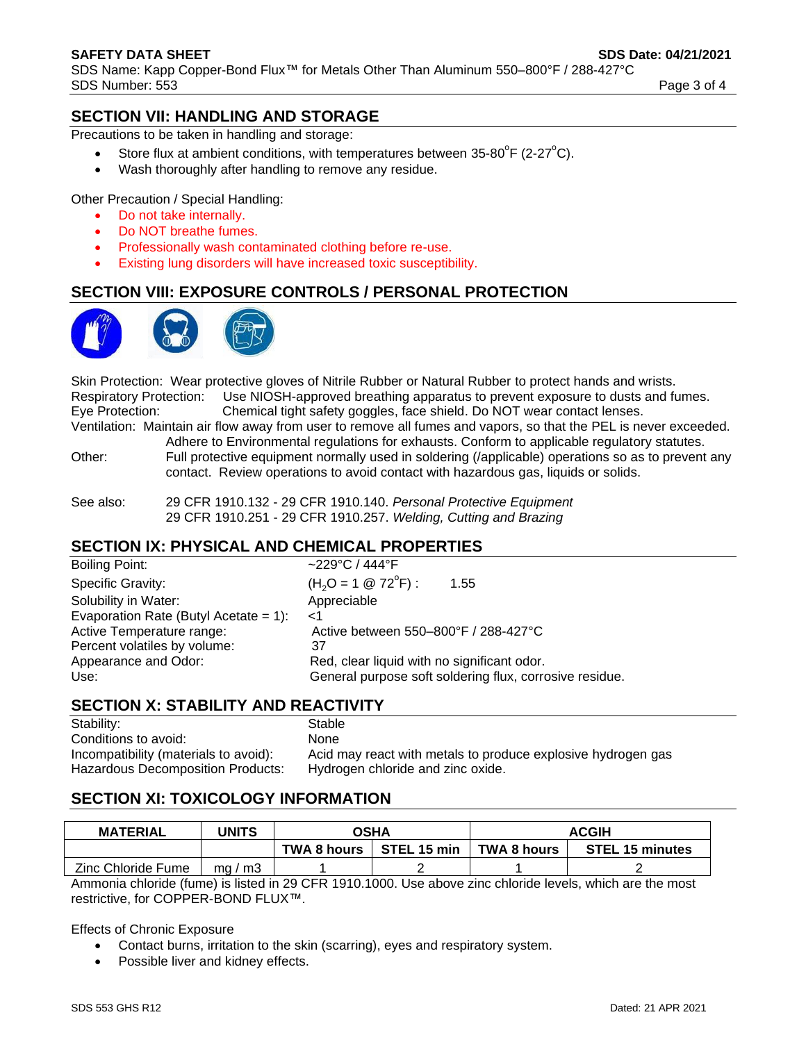# **SECTION VII: HANDLING AND STORAGE**

Precautions to be taken in handling and storage:

- Store flux at ambient conditions, with temperatures between  $35-80^{\circ}F$  (2-27 $^{\circ}C$ ).
- Wash thoroughly after handling to remove any residue.

Other Precaution / Special Handling:

- Do not take internally.
- Do NOT breathe fumes.
- Professionally wash contaminated clothing before re-use.
- Existing lung disorders will have increased toxic susceptibility.

## **SECTION VIII: EXPOSURE CONTROLS / PERSONAL PROTECTION**

Skin Protection: Wear protective gloves of Nitrile Rubber or Natural Rubber to protect hands and wrists. Respiratory Protection: Use NIOSH-approved breathing apparatus to prevent exposure to dusts and fumes. Eye Protection: Chemical tight safety goggles, face shield. Do NOT wear contact lenses. Ventilation: Maintain air flow away from user to remove all fumes and vapors, so that the PEL is never exceeded.

Adhere to Environmental regulations for exhausts. Conform to applicable regulatory statutes.

Other: Full protective equipment normally used in soldering (/applicable) operations so as to prevent any contact. Review operations to avoid contact with hazardous gas, liquids or solids.

See also: 29 CFR 1910.132 - 29 CFR 1910.140. *Personal Protective Equipment* 29 CFR 1910.251 - 29 CFR 1910.257. *Welding, Cutting and Brazing*

## **SECTION IX: PHYSICAL AND CHEMICAL PROPERTIES**

| ~229°C / 444°F                                          |
|---------------------------------------------------------|
| $(H2O = 1 \otimes 72^{\circ}F)$ :<br>1.55               |
| Appreciable                                             |
| ${<}1$                                                  |
| Active between 550-800°F / 288-427°C                    |
| 37                                                      |
| Red, clear liquid with no significant odor.             |
| General purpose soft soldering flux, corrosive residue. |
|                                                         |

## **SECTION X: STABILITY AND REACTIVITY**

Stability: Stable Conditions to avoid: None Hazardous Decomposition Products: Hydrogen chloride and zinc oxide.

Incompatibility (materials to avoid): Acid may react with metals to produce explosive hydrogen gas

# **SECTION XI: TOXICOLOGY INFORMATION**

| <b>MATERIAL</b>    | <b>JNITS</b> | OSHA               |             | <b>ACGIH</b>       |                        |
|--------------------|--------------|--------------------|-------------|--------------------|------------------------|
|                    |              | <b>TWA 8 hours</b> | STEL 15 min | <b>TWA 8 hours</b> | <b>STEL 15 minutes</b> |
| Zinc Chloride Fume | ma/m3        |                    |             |                    |                        |

Ammonia chloride (fume) is listed in 29 CFR 1910.1000. Use above zinc chloride levels, which are the most restrictive, for COPPER-BOND FLUX™.

Effects of Chronic Exposure

- Contact burns, irritation to the skin (scarring), eyes and respiratory system.
- Possible liver and kidney effects.